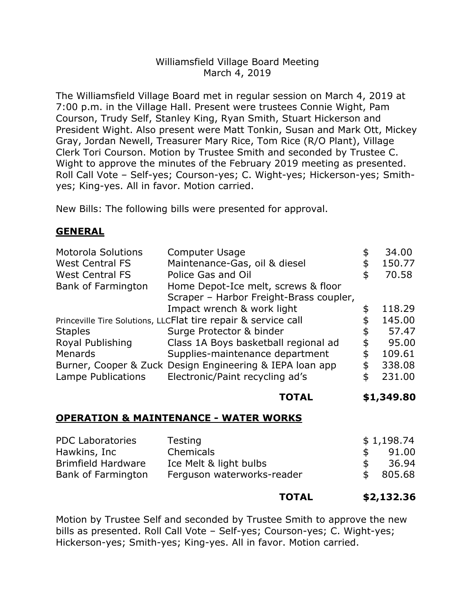## Williamsfield Village Board Meeting March 4, 2019

The Williamsfield Village Board met in regular session on March 4, 2019 at 7:00 p.m. in the Village Hall. Present were trustees Connie Wight, Pam Courson, Trudy Self, Stanley King, Ryan Smith, Stuart Hickerson and President Wight. Also present were Matt Tonkin, Susan and Mark Ott, Mickey Gray, Jordan Newell, Treasurer Mary Rice, Tom Rice (R/O Plant), Village Clerk Tori Courson. Motion by Trustee Smith and seconded by Trustee C. Wight to approve the minutes of the February 2019 meeting as presented. Roll Call Vote – Self-yes; Courson-yes; C. Wight-yes; Hickerson-yes; Smithyes; King-yes. All in favor. Motion carried.

New Bills: The following bills were presented for approval.

# **GENERAL**

| <b>Motorola Solutions</b>                                      | Computer Usage                                           |    | 34.00  |
|----------------------------------------------------------------|----------------------------------------------------------|----|--------|
| <b>West Central FS</b>                                         | Maintenance-Gas, oil & diesel                            | \$ | 150.77 |
| <b>West Central FS</b>                                         | Police Gas and Oil                                       | \$ | 70.58  |
| Bank of Farmington                                             | Home Depot-Ice melt, screws & floor                      |    |        |
|                                                                | Scraper - Harbor Freight-Brass coupler,                  |    |        |
|                                                                | Impact wrench & work light                               | S  | 118.29 |
| Princeville Tire Solutions, LLCFlat tire repair & service call |                                                          |    | 145.00 |
| <b>Staples</b>                                                 | Surge Protector & binder                                 | \$ | 57.47  |
| Royal Publishing                                               | Class 1A Boys basketball regional ad                     | \$ | 95.00  |
| Menards                                                        | Supplies-maintenance department                          | \$ | 109.61 |
|                                                                | Burner, Cooper & Zuck Design Engineering & IEPA loan app | \$ | 338.08 |
| Lampe Publications                                             | Electronic/Paint recycling ad's                          | S  | 231.00 |

#### **TOTAL \$1,349.80**

#### **OPERATION & MAINTENANCE - WATER WORKS**

| <b>PDC Laboratories</b> | Testing                    | \$1,198.74    |  |
|-------------------------|----------------------------|---------------|--|
| Hawkins, Inc            | Chemicals                  | 91.00         |  |
| Brimfield Hardware      | Ice Melt & light bulbs     | 36.94         |  |
| Bank of Farmington      | Ferguson waterworks-reader | 805.68<br>-SS |  |

#### **TOTAL \$2,132.36**

Motion by Trustee Self and seconded by Trustee Smith to approve the new bills as presented. Roll Call Vote – Self-yes; Courson-yes; C. Wight-yes; Hickerson-yes; Smith-yes; King-yes. All in favor. Motion carried.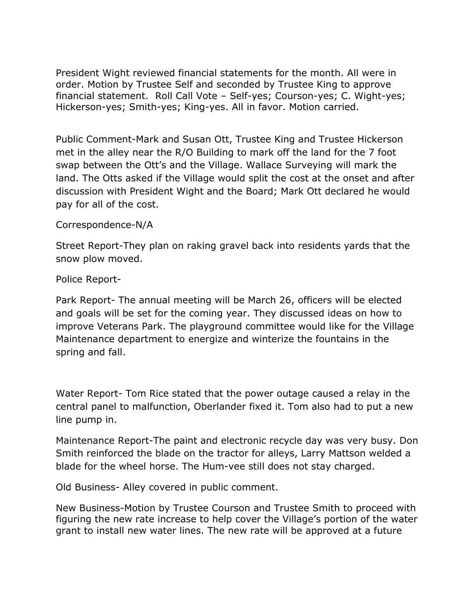President Wight reviewed financial statements for the month. All were in order. Motion by Trustee Self and seconded by Trustee King to approve financial statement. Roll Call Vote - Self-yes; Courson-yes; C. Wight-yes; Hickerson-yes; Smith-yes; King-yes. All in favor. Motion carried.

Public Comment-Mark and Susan Ott, Trustee King and Trustee Hickerson met in the alley near the R/O Building to mark off the land for the 7 foot swap between the Ott's and the Village. Wallace Surveying will mark the land. The Otts asked if the Village would split the cost at the onset and after discussion with President Wight and the Board; Mark Ott declared he would pay for all of the cost.

### Correspondence-N/A

Street Report-They plan on raking gravel back into residents yards that the snow plow moved.

Police Report-

Park Report- The annual meeting will be March 26, officers will be elected and goals will be set for the coming year. They discussed ideas on how to improve Veterans Park. The playground committee would like for the Village Maintenance department to energize and winterize the fountains in the spring and fall.

Water Report- Tom Rice stated that the power outage caused a relay in the central panel to malfunction, Oberlander fixed it. Tom also had to put a new line pump in.

Maintenance Report-The paint and electronic recycle day was very busy. Don Smith reinforced the blade on the tractor for alleys, Larry Mattson welded a blade for the wheel horse. The Hum-vee still does not stay charged.

Old Business- Alley covered in public comment.

New Business-Motion by Trustee Courson and Trustee Smith to proceed with figuring the new rate increase to help cover the Village's portion of the water grant to install new water lines. The new rate will be approved at a future